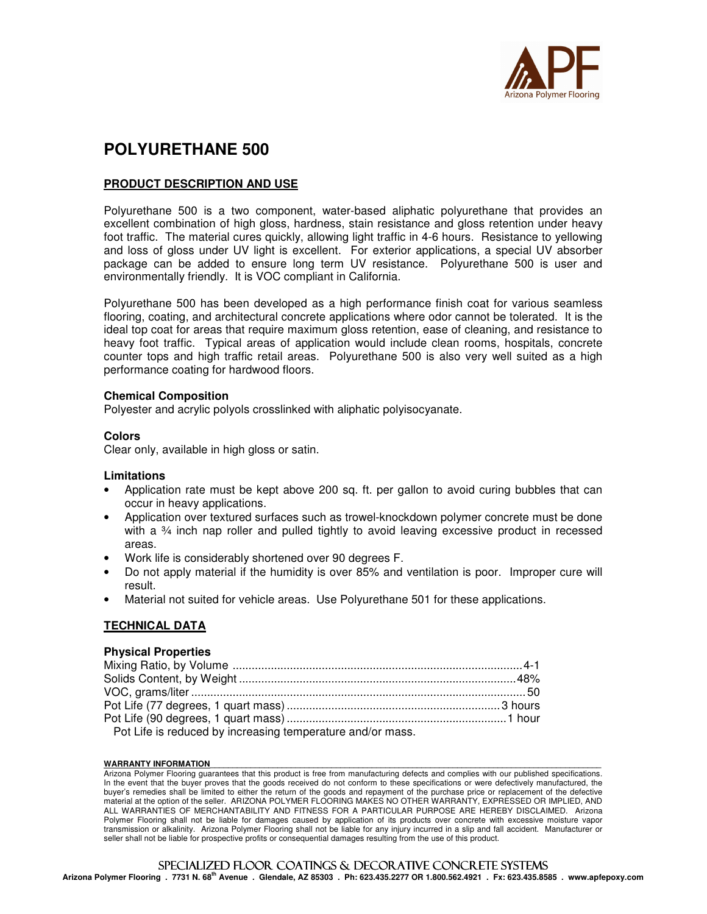

# **POLYURETHANE 500**

# **PRODUCT DESCRIPTION AND USE**

Polyurethane 500 is a two component, water-based aliphatic polyurethane that provides an excellent combination of high gloss, hardness, stain resistance and gloss retention under heavy foot traffic. The material cures quickly, allowing light traffic in 4-6 hours. Resistance to yellowing and loss of gloss under UV light is excellent. For exterior applications, a special UV absorber package can be added to ensure long term UV resistance. Polyurethane 500 is user and environmentally friendly. It is VOC compliant in California.

Polyurethane 500 has been developed as a high performance finish coat for various seamless flooring, coating, and architectural concrete applications where odor cannot be tolerated. It is the ideal top coat for areas that require maximum gloss retention, ease of cleaning, and resistance to heavy foot traffic. Typical areas of application would include clean rooms, hospitals, concrete counter tops and high traffic retail areas. Polyurethane 500 is also very well suited as a high performance coating for hardwood floors.

### **Chemical Composition**

Polyester and acrylic polyols crosslinked with aliphatic polyisocyanate.

## **Colors**

Clear only, available in high gloss or satin.

### **Limitations**

- Application rate must be kept above 200 sq. ft. per gallon to avoid curing bubbles that can occur in heavy applications.
- Application over textured surfaces such as trowel-knockdown polymer concrete must be done with a  $\frac{3}{4}$  inch nap roller and pulled tightly to avoid leaving excessive product in recessed areas.
- Work life is considerably shortened over 90 degrees F.
- Do not apply material if the humidity is over 85% and ventilation is poor. Improper cure will result.
- Material not suited for vehicle areas. Use Polyurethane 501 for these applications.

## **TECHNICAL DATA**

### **Physical Properties**

| Pot Life is reduced by increasing temperature and/or mass. |  |
|------------------------------------------------------------|--|

#### WARRANTY INFORMATION

Arizona Polymer Flooring guarantees that this product is free from manufacturing defects and complies with our published specifications. In the event that the buyer proves that the goods received do not conform to these specifications or were defectively manufactured, the buyer's remedies shall be limited to either the return of the goods and repayment of the purchase price or replacement of the defective material at the option of the seller. ARIZONA POLYMER FLOORING MAKES NO OTHER WARRANTY, EXPRESSED OR IMPLIED, AND ALL WARRANTIES OF MERCHANTABILITY AND FITNESS FOR A PARTICULAR PURPOSE ARE HEREBY DISCLAIMED. Arizona Polymer Flooring shall not be liable for damages caused by application of its products over concrete with excessive moisture vapor transmission or alkalinity. Arizona Polymer Flooring shall not be liable for any injury incurred in a slip and fall accident. Manufacturer or seller shall not be liable for prospective profits or consequential damages resulting from the use of this product.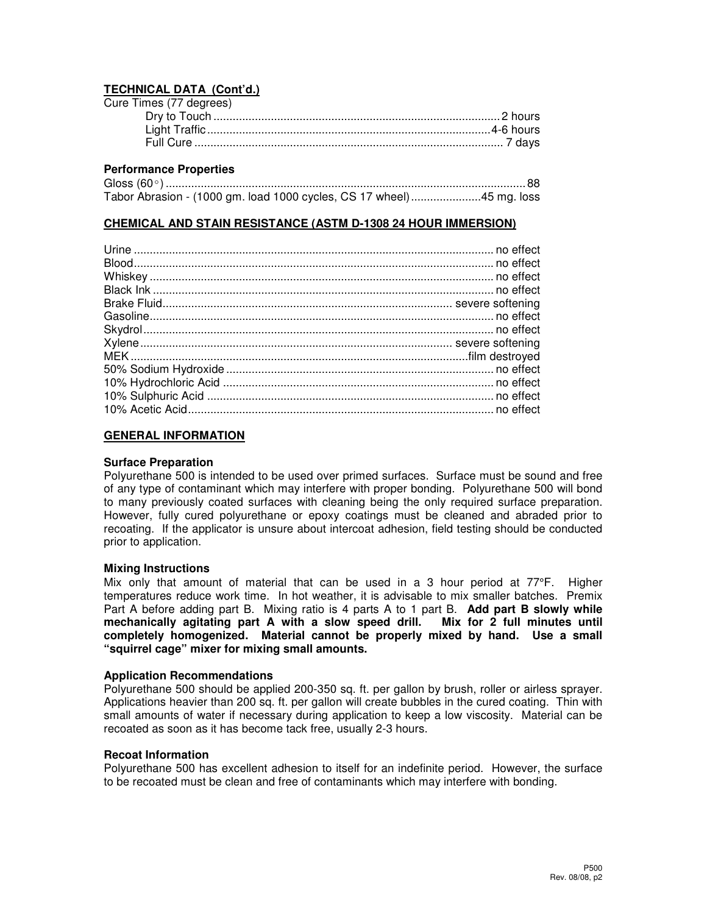# **TECHNICAL DATA (Cont'd.)**

| Cure Times (77 degrees) |  |
|-------------------------|--|
|                         |  |
|                         |  |
|                         |  |

# **Performance Properties**

| Tabor Abrasion - (1000 gm. load 1000 cycles, CS 17 wheel)45 mg. loss |  |
|----------------------------------------------------------------------|--|

### **CHEMICAL AND STAIN RESISTANCE (ASTM D-1308 24 HOUR IMMERSION)**

### **GENERAL INFORMATION**

### **Surface Preparation**

Polyurethane 500 is intended to be used over primed surfaces. Surface must be sound and free of any type of contaminant which may interfere with proper bonding. Polyurethane 500 will bond to many previously coated surfaces with cleaning being the only required surface preparation. However, fully cured polyurethane or epoxy coatings must be cleaned and abraded prior to recoating. If the applicator is unsure about intercoat adhesion, field testing should be conducted prior to application.

### **Mixing Instructions**

Mix only that amount of material that can be used in a 3 hour period at 77°F. Higher temperatures reduce work time. In hot weather, it is advisable to mix smaller batches. Premix Part A before adding part B. Mixing ratio is 4 parts A to 1 part B. **Add part B slowly while mechanically agitating part A with a slow speed drill. Mix for 2 full minutes until completely homogenized. Material cannot be properly mixed by hand. Use a small "squirrel cage" mixer for mixing small amounts.**

### **Application Recommendations**

Polyurethane 500 should be applied 200-350 sq. ft. per gallon by brush, roller or airless sprayer. Applications heavier than 200 sq. ft. per gallon will create bubbles in the cured coating. Thin with small amounts of water if necessary during application to keep a low viscosity. Material can be recoated as soon as it has become tack free, usually 2-3 hours.

### **Recoat Information**

Polyurethane 500 has excellent adhesion to itself for an indefinite period. However, the surface to be recoated must be clean and free of contaminants which may interfere with bonding.